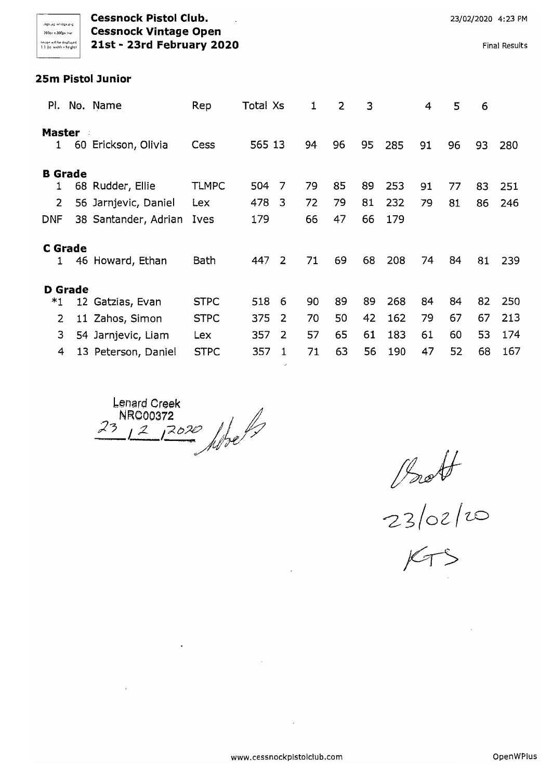**Cessnock Pistol Club. 23/02/2020** 4:23 PM )000" lOOp> ,,,"- **Cessnock Vintage Open** lm: create at be displayed **21st - 23rd February 2020 Final Results** 11 acrossed **Final Results** 

### **25m Pistol Junior**

| PI.                                     |                | No. Name                                                         | Rep                         | Total Xs          |              | 1              | 2              | 3              |                   | 4        | 5        | 6        |            |
|-----------------------------------------|----------------|------------------------------------------------------------------|-----------------------------|-------------------|--------------|----------------|----------------|----------------|-------------------|----------|----------|----------|------------|
| <b>Master</b><br>$\mathbf{1}$           | 60             | Erickson, Olivia                                                 | Cess                        | 565 13            |              | 94             | 96             | 95             | 285               | 91       | 96       | 93       | 280        |
| <b>B</b> Grade<br>$\overline{2}$<br>DNF |                | 68 Rudder, Ellie<br>56 Jarnjevic, Daniel<br>38 Santander, Adrian | <b>TLMPC</b><br>Lex<br>Ives | 504<br>478<br>179 | 7<br>3       | 79<br>72<br>66 | 85<br>79<br>47 | 89<br>81<br>66 | 253<br>232<br>179 | 91<br>79 | 77<br>81 | 83<br>86 | 251<br>246 |
|                                         | <b>C</b> Grade | 46 Howard, Ethan                                                 | Bath                        | 447               | 2            | 71             | 69             | 68             | 208               | 74       | 84       | 81       | 239        |
|                                         | <b>D</b> Grade |                                                                  |                             |                   |              |                |                |                |                   |          |          |          |            |
| *1                                      |                | 12 Gatzias, Evan                                                 | <b>STPC</b>                 | 518               | 6            | 90             | 89             | 89             | 268               | 84       | 84       | 82       | 250        |
| $\mathbf{2}$                            |                | 11 Zahos, Simon                                                  | <b>STPC</b>                 | 375               | 2            | 70             | 50             | 42             | 162               | 79       | 67       | 67       | 213        |
| 3                                       |                | 54 Jarnjevic, Liam                                               | Lex                         | 357               | 2            | 57             | 65             | 61             | 183               | 61       | 60       | 53       | 174        |
| 4                                       |                | 13 Peterson, Daniel                                              | <b>STPC</b>                 | 357               | $\mathbf{1}$ | 71             | 63             | 56             | 190               | 47       | 52       | 68       | 167        |
|                                         |                |                                                                  |                             |                   |              |                |                |                |                   |          |          |          |            |

Lenard Creek NRC00372<br>12/<sup>2020</sup> Albe  $23$ 

Proff

 $23/02/0$ 

 $KTS$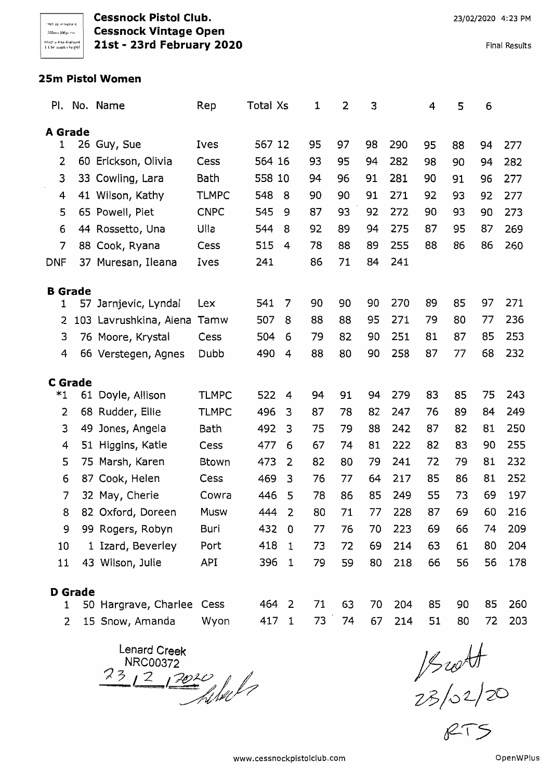**Cessnock Pistol Club. Cessnock Vintage Open 21st - 23rd February 2020** 

Final Results

### **25m Pistol Women**

| PI.            |                | No. Name                  | Rep          | Total Xs |                | 1  | 2  | 3  |     | 4  | 5  | 6  |     |
|----------------|----------------|---------------------------|--------------|----------|----------------|----|----|----|-----|----|----|----|-----|
| <b>A</b> Grade |                |                           |              |          |                |    |    |    |     |    |    |    |     |
| 1              |                | 26 Guy, Sue               | Ives         | 567 12   |                | 95 | 97 | 98 | 290 | 95 | 88 | 94 | 277 |
| 2              | 60             | Erickson, Olivia          | Cess         | 564 16   |                | 93 | 95 | 94 | 282 | 98 | 90 | 94 | 282 |
| 3              | 33             | Cowling, Lara             | Bath         | 558 10   |                | 94 | 96 | 91 | 281 | 90 | 91 | 96 | 277 |
| 4              |                | 41 Wilson, Kathy          | <b>TLMPC</b> | 548      | 8              | 90 | 90 | 91 | 271 | 92 | 93 | 92 | 277 |
| 5              |                | 65 Powell, Piet           | <b>CNPC</b>  | 545      | 9              | 87 | 93 | 92 | 272 | 90 | 93 | 90 | 273 |
| 6              |                | 44 Rossetto, Una          | Ulla         | 544      | 8              | 92 | 89 | 94 | 275 | 87 | 95 | 87 | 269 |
| 7              |                | 88 Cook, Ryana            | Cess         | 515      | 4              | 78 | 88 | 89 | 255 | 88 | 86 | 86 | 260 |
| DNF            |                | 37 Muresan, Ileana        | Ives         | 241      |                | 86 | 71 | 84 | 241 |    |    |    |     |
| <b>B</b> Grade |                |                           |              |          |                |    |    |    |     |    |    |    |     |
| 1              |                | 57 Jarnjevic, Lyndal      | Lex          | 541      | 7              | 90 | 90 | 90 | 270 | 89 | 85 | 97 | 271 |
| 2              |                | 103 Lavrushkina, Alena    | Tamw         | 507      | 8              | 88 | 88 | 95 | 271 | 79 | 80 | 77 | 236 |
| 3              |                | 76 Moore, Krystal         | Cess         | 504      | 6              | 79 | 82 | 90 | 251 | 81 | 87 | 85 | 253 |
| 4              |                | 66 Verstegen, Agnes       | Dubb         | 490      | 4              | 88 | 80 | 90 | 258 | 87 | 77 | 68 | 232 |
|                |                |                           |              |          |                |    |    |    |     |    |    |    |     |
| $*1$           | <b>C</b> Grade | 61 Doyle, Allison         | <b>TLMPC</b> | 522      | 4              | 94 | 91 | 94 | 279 | 83 | 85 | 75 | 243 |
| 2              |                | 68 Rudder, Ellie          | <b>TLMPC</b> | 496      | 3              | 87 | 78 | 82 | 247 | 76 | 89 | 84 | 249 |
| 3              | 49             | Jones, Angela             | Bath         | 492      | 3              | 75 | 79 | 88 | 242 | 87 | 82 | 81 | 250 |
| 4              |                | 51 Higgins, Katie         | Cess         | 477      | 6              | 67 | 74 | 81 | 222 | 82 | 83 | 90 | 255 |
| 5              |                | 75 Marsh, Karen           | Btown        | 473      | 2              | 82 | 80 | 79 | 241 | 72 | 79 | 81 | 232 |
| 6              | 87             | Cook, Helen               | Cess         | 469      | 3              | 76 | 77 | 64 | 217 | 85 | 86 | 81 | 252 |
| 7              |                | 32 May, Cherie            | Cowra        | 446      | 5              | 78 | 86 | 85 | 249 | 55 | 73 | 69 | 197 |
| 8              |                | 82 Oxford, Doreen         | Musw         | 444      | $\overline{2}$ | 80 | 71 | 77 | 228 | 87 | 69 | 60 | 216 |
| 9              |                | 99 Rogers, Robyn          | Buri         | 432      | $\overline{0}$ | 77 | 76 | 70 | 223 | 69 | 66 | 74 | 209 |
| 10             |                | 1 Izard, Beverley         | Port         | 418      | $\mathbf{1}$   | 73 | 72 | 69 | 214 | 63 | 61 | 80 | 204 |
| 11             |                | 43 Wilson, Julie          | API          | 396      | $\mathbf{1}$   | 79 | 59 | 80 | 218 | 66 | 56 | 56 | 178 |
|                |                |                           |              |          |                |    |    |    |     |    |    |    |     |
| 1.             | <b>D</b> Grade | 50 Hargrave, Charlee Cess |              |          | 464 2          | 71 | 63 | 70 | 204 | 85 | 90 | 85 | 260 |

1 50 Hargrave, Charlee Cess Wyon

2 15 Snow, Amanda

Lenard Creek Print of the United States<br> *Print of the County of the County of the County of the International States* 

,<br>23 / 02 / 20

417 1 73· 74 67 214 51 80 72 203

 $RT5$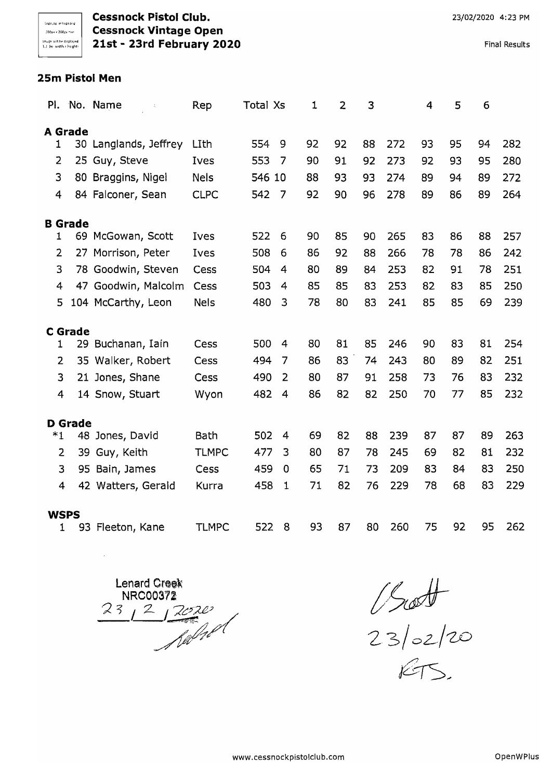**Cessnock Pistol Club. Channel Club Cessnock Pistol Club**. **23/02/2020** 4:23 PM ,,",",,lWC' "'". **Cessnock Vintage Open**  1:) **21st - 23rd February 2020** Final Results

#### **25m Pistol Men**

| PI.            |                | No. Name              | Rep          | Total Xs |                | $\mathbf 1$ | $\overline{2}$ | 3  |     | $\overline{\mathbf{4}}$ | 5  | 6  |     |
|----------------|----------------|-----------------------|--------------|----------|----------------|-------------|----------------|----|-----|-------------------------|----|----|-----|
|                | <b>A</b> Grade |                       |              |          |                |             |                |    |     |                         |    |    |     |
| 1              |                | 30 Langlands, Jeffrey | LIth         | 554      | 9              | 92          | 92             | 88 | 272 | 93                      | 95 | 94 | 282 |
| $\overline{2}$ |                | 25 Guy, Steve         | Ives         | 553      | 7              | 90          | 91             | 92 | 273 | 92                      | 93 | 95 | 280 |
| 3              |                | 80 Braggins, Nigel    | <b>Nels</b>  | 546 10   |                | 88          | 93             | 93 | 274 | 89                      | 94 | 89 | 272 |
| $\overline{4}$ |                | 84 Falconer, Sean     | <b>CLPC</b>  | 542      | 7              | 92          | 90             | 96 | 278 | 89                      | 86 | 89 | 264 |
|                | <b>B</b> Grade |                       |              |          |                |             |                |    |     |                         |    |    |     |
| 1              |                | 69 McGowan, Scott     | Ives         | 522      | 6              | 90          | 85             | 90 | 265 | 83                      | 86 | 88 | 257 |
| $\overline{2}$ |                | 27 Morrison, Peter    | Ives         | 508      | 6              | 86          | 92             | 88 | 266 | 78                      | 78 | 86 | 242 |
| 3              |                | 78 Goodwin, Steven    | Cess         | 504      | 4              | 80          | 89             | 84 | 253 | 82                      | 91 | 78 | 251 |
| 4              |                | 47 Goodwin, Malcolm   | Cess         | 503      | 4              | 85          | 85             | 83 | 253 | 82                      | 83 | 85 | 250 |
| 5              |                | 104 McCarthy, Leon    | <b>Nels</b>  | 480      | 3              | 78          | 80             | 83 | 241 | 85                      | 85 | 69 | 239 |
|                | <b>C</b> Grade |                       |              |          |                |             |                |    |     |                         |    |    |     |
| 1              |                | 29 Buchanan, Iain     | Cess         | 500      | $\overline{4}$ | 80          | 81             | 85 | 246 | 90                      | 83 | 81 | 254 |
| $\overline{2}$ |                | 35 Walker, Robert     | Cess         | 494      | 7              | 86          | 83             | 74 | 243 | 80                      | 89 | 82 | 251 |
| 3              |                | 21 Jones, Shane       | Cess         | 490      | $\overline{2}$ | 80          | 87             | 91 | 258 | 73                      | 76 | 83 | 232 |
| $\overline{4}$ |                | 14 Snow, Stuart       | Wyon         | 482      | 4              | 86          | 82             | 82 | 250 | 70                      | 77 | 85 | 232 |
|                | <b>D</b> Grade |                       |              |          |                |             |                |    |     |                         |    |    |     |
| $*1$           | 48             | Jones, David          | Bath         | 502      | 4              | 69          | 82             | 88 | 239 | 87                      | 87 | 89 | 263 |
| $\overline{2}$ | 39             | Guy, Keith            | <b>TLMPC</b> | 477      | 3              | 80          | 87             | 78 | 245 | 69                      | 82 | 81 | 232 |
| 3              |                | 95 Bain, James        | Cess         | 459      | 0              | 65          | 71             | 73 | 209 | 83                      | 84 | 83 | 250 |
| 4              |                | 42 Watters, Gerald    | Kurra        | 458      | $\mathbf{1}$   | 71          | 82             | 76 | 229 | 78                      | 68 | 83 | 229 |
| <b>WSPS</b>    |                |                       |              |          |                |             |                |    |     |                         |    |    |     |
| 1              |                | 93 Fleeton, Kane      | <b>TLMPC</b> | 522      | 8              | 93          | 87             | 80 | 260 | 75                      | 92 | 95 | 262 |

Lenard Creek<br>NRC00372<br>23 2 2 2020

 $\bar{\mathcal{A}}$ 

t>J

*23/ <sup>o</sup> 2-/rzo*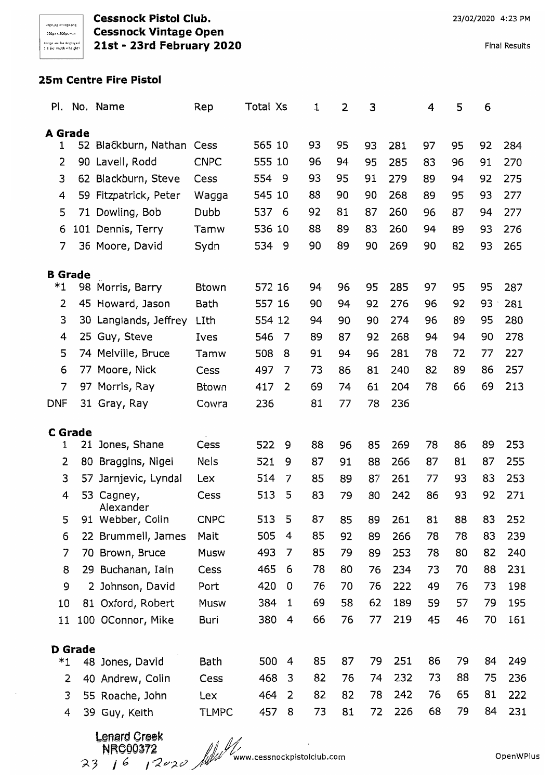**Cessnock Pistol Club. Cessnock Vintage Open 21st - 23rd February 2020** 

Final Results

## **25m Centre Fire Pistol**

|                |                | Pl. No. Name          | Rep          | Total Xs |                | 1  | 2  | 3  |     | 4  | 5  | 6  |     |
|----------------|----------------|-----------------------|--------------|----------|----------------|----|----|----|-----|----|----|----|-----|
| <b>A</b> Grade |                |                       |              |          |                |    |    |    |     |    |    |    |     |
| 1              |                | 52 Blackburn, Nathan  | Cess         | 565 10   |                | 93 | 95 | 93 | 281 | 97 | 95 | 92 | 284 |
| 2              |                | 90 Lavell, Rodd       | <b>CNPC</b>  | 555 10   |                | 96 | 94 | 95 | 285 | 83 | 96 | 91 | 270 |
| 3              |                | 62 Blackburn, Steve   | Cess         | 554      | 9              | 93 | 95 | 91 | 279 | 89 | 94 | 92 | 275 |
| 4              |                | 59 Fitzpatrick, Peter | Wagga        | 545 10   |                | 88 | 90 | 90 | 268 | 89 | 95 | 93 | 277 |
| 5              |                | 71 Dowling, Bob       | Dubb         | 537      | 6              | 92 | 81 | 87 | 260 | 96 | 87 | 94 | 277 |
| 6              |                | 101 Dennis, Terry     | Tamw         | 536 10   |                | 88 | 89 | 83 | 260 | 94 | 89 | 93 | 276 |
| 7              |                | 36 Moore, David       | Sydn         | 534      | - 9            | 90 | 89 | 90 | 269 | 90 | 82 | 93 | 265 |
| <b>B</b> Grade |                |                       |              |          |                |    |    |    |     |    |    |    |     |
| *1             |                | 98 Morris, Barry      | <b>Btown</b> | 572 16   |                | 94 | 96 | 95 | 285 | 97 | 95 | 95 | 287 |
| 2              |                | 45 Howard, Jason      | Bath         | 557 16   |                | 90 | 94 | 92 | 276 | 96 | 92 | 93 | 281 |
| 3              |                | 30 Langlands, Jeffrey | LIth         | 554 12   |                | 94 | 90 | 90 | 274 | 96 | 89 | 95 | 280 |
| 4              |                | 25 Guy, Steve         | Ives         | 546      | 7              | 89 | 87 | 92 | 268 | 94 | 94 | 90 | 278 |
| 5              |                | 74 Melville, Bruce    | Tamw         | 508      | 8              | 91 | 94 | 96 | 281 | 78 | 72 | 77 | 227 |
| 6              |                | 77 Moore, Nick        | Cess         | 497      | 7              | 73 | 86 | 81 | 240 | 82 | 89 | 86 | 257 |
| 7              |                | 97 Morris, Ray        | Btown        | 417      | $\overline{2}$ | 69 | 74 | 61 | 204 | 78 | 66 | 69 | 213 |
| <b>DNF</b>     |                | 31 Gray, Ray          | Cowra        | 236      |                | 81 | 77 | 78 | 236 |    |    |    |     |
|                | <b>C</b> Grade |                       |              |          |                |    |    |    |     |    |    |    |     |
| 1              | 21             | Jones, Shane          | Cess         | 522      | 9              | 88 | 96 | 85 | 269 | 78 | 86 | 89 | 253 |
| 2              | 80             | Braggins, Nigel       | Nels         | 521      | 9              | 87 | 91 | 88 | 266 | 87 | 81 | 87 | 255 |
| 3              | 57             | Jarnjevic, Lyndal     | Lex          | 514      | 7              | 85 | 89 | 87 | 261 | 77 | 93 | 83 | 253 |
| 4              | 53             | Cagney,<br>Alexander  | Cess         | 513      | 5              | 83 | 79 | 80 | 242 | 86 | 93 | 92 | 271 |
| 5              |                | 91 Webber, Colin      | <b>CNPC</b>  | 513      | 5              | 87 | 85 | 89 | 261 | 81 | 88 | 83 | 252 |
| 6              |                | 22 Brummell, James    | Mait         | 505      | 4              | 85 | 92 | 89 | 266 | 78 | 78 | 83 | 239 |
| 7              |                | 70 Brown, Bruce       | Musw         | 493      | 7              | 85 | 79 | 89 | 253 | 78 | 80 | 82 | 240 |
| 8              |                | 29 Buchanan, Iain     | Cess         | 465      | 6              | 78 | 80 | 76 | 234 | 73 | 70 | 88 | 231 |
| 9              |                | 2 Johnson, David      | Port         | 420      | 0              | 76 | 70 | 76 | 222 | 49 | 76 | 73 | 198 |
| 10             |                | 81 Oxford, Robert     | Musw         | 384      | 1              | 69 | 58 | 62 | 189 | 59 | 57 | 79 | 195 |
| 11             |                | 100 OConnor, Mike     | Buri         | 380      | 4              | 66 | 76 | 77 | 219 | 45 | 46 | 70 | 161 |
|                | <b>D</b> Grade |                       |              |          |                |    |    |    |     |    |    |    |     |
| $*1$           |                | 48 Jones, David       | Bath         | 500      | 4              | 85 | 87 | 79 | 251 | 86 | 79 | 84 | 249 |
| 2              |                | 40 Andrew, Colin      | Cess         | 468      | 3              | 82 | 76 | 74 | 232 | 73 | 88 | 75 | 236 |
| 3              |                | 55 Roache, John       | Lex          | 464      | 2              | 82 | 82 | 78 | 242 | 76 | 65 | 81 | 222 |
| 4              |                | 39 Guy, Keith         | <b>TLMPC</b> | 457      | 8              | 73 | 81 | 72 | 226 | 68 | 79 | 84 | 231 |
|                |                |                       |              |          |                |    |    |    |     |    |    |    |     |

Lenard Creek<br>NRC00372<br>23 | 6 | 2020 MW www.cessnockpistolclub.com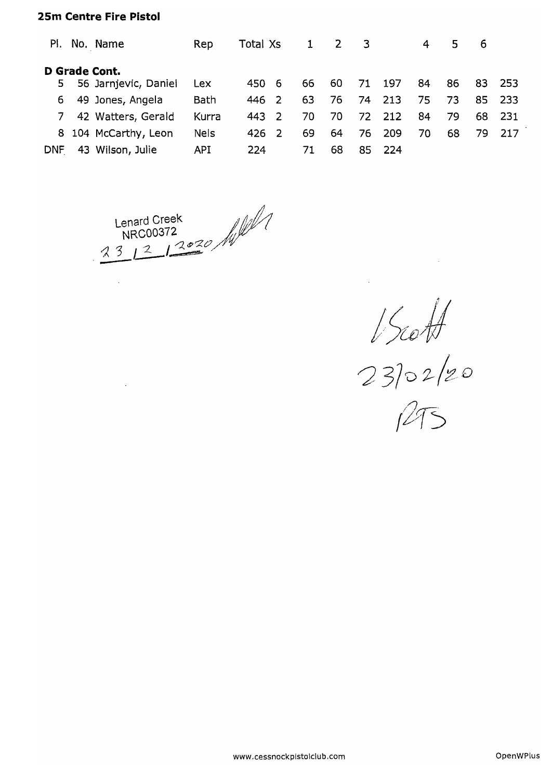#### **25m Centre Fire Pistol**

 $\sim$ 

 $\ddot{\phantom{a}}$ 

| PI.        | No. Name             | Rep        | Total Xs |     | $\mathbf{1}$ | $\overline{2}$ | $\overline{\mathbf{3}}$ |     | 4  | 5. | - 6 |      |
|------------|----------------------|------------|----------|-----|--------------|----------------|-------------------------|-----|----|----|-----|------|
|            | D Grade Cont.        |            |          |     |              |                |                         |     |    |    |     |      |
| 5.         | 56 Jarnjevic, Daniel | Lex        | 450      | - 6 | 66           | 60             | 71                      | 197 | 84 | 86 | 83. | -253 |
| 6.         | 49 Jones, Angela     | Bath       | 446 2    |     | 63           | 76             | 74                      | 213 | 75 | 73 | 85. | -233 |
| 7          | 42 Watters, Gerald   | Kurra      | 443 2    |     | -70-         | 70             | 72                      | 212 | 84 | 79 | 68  | -231 |
|            | 8 104 McCarthy, Leon | Nels       | 426 2    |     | 69           | 64             | 76                      | 209 | 70 | 68 | 79. | 217  |
| <b>DNF</b> | 43 Wilson, Julie     | <b>API</b> | 224      |     | 71.          | 68             | 85                      | 224 |    |    |     |      |

Lenard Creek<br>NRC00372<br>23 12 12 2020 /

*j)wi* 

 $23$ 02/20

 $|2|$  )

**www.cessnockpistolclub.com**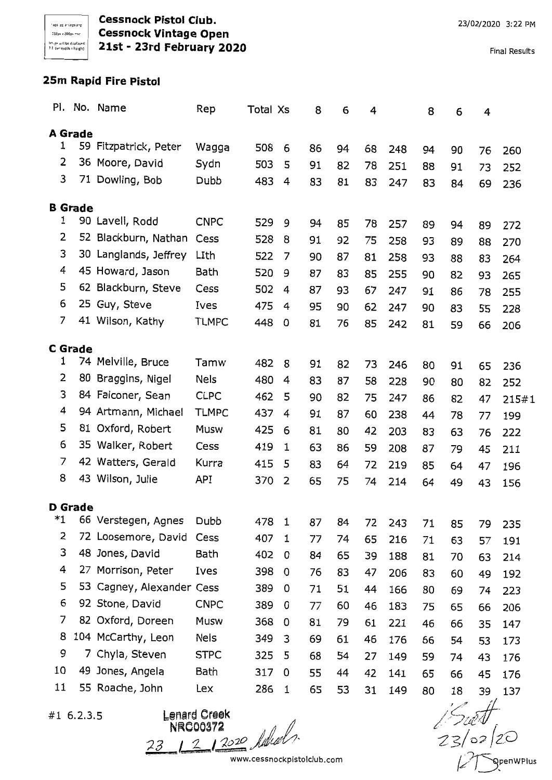**Cessnock Pistol Club.**  '00,,,'00,,,, **Cessnock Vintage Open**  ~~"~:.~\,~I':l~'o:~~~:,;~~ **21st - 23rd February 2020** 

## **25m Rapid Fire Pistol**

|    |                | Pl. No. Name              | Rep          | Total Xs |              | 8        | 6  | 4  |     | 8  | 6  | 4  |       |
|----|----------------|---------------------------|--------------|----------|--------------|----------|----|----|-----|----|----|----|-------|
|    | A Grade        |                           |              |          |              |          |    |    |     |    |    |    |       |
| 1  |                | 59 Fitzpatrick, Peter     | Wagga        | 508      | 6            | 86       | 94 | 68 | 248 | 94 | 90 | 76 | 260   |
| 2  |                | 36 Moore, David           | Sydn         | 503      | 5            | 91       | 82 | 78 | 251 | 88 | 91 | 73 | 252   |
| 3  |                | 71 Dowling, Bob           | Dubb         | 483      | 4            | 83       | 81 | 83 | 247 | 83 | 84 | 69 | 236   |
|    |                |                           |              |          |              |          |    |    |     |    |    |    |       |
| 1  | <b>B</b> Grade | 90 Lavell, Rodd           | <b>CNPC</b>  | 529      | 9            |          |    |    |     |    |    |    |       |
| 2  |                | 52 Blackburn, Nathan      | Cess         | 528      | 8            | 94       | 85 | 78 | 257 | 89 | 94 | 89 | 272   |
| 3  |                | 30 Langlands, Jeffrey     | LIth         | 522      | 7            | 91       | 92 | 75 | 258 | 93 | 89 | 88 | 270   |
| 4  |                | 45 Howard, Jason          | Bath         | 520      | 9            | 90<br>87 | 87 | 81 | 258 | 93 | 88 | 83 | 264   |
| 5  |                | 62 Blackburn, Steve       | Cess         | 502      | 4            |          | 83 | 85 | 255 | 90 | 82 | 93 | 265   |
| 6  |                | 25 Guy, Steve             | Ives         | 475      | 4            | 87       | 93 | 67 | 247 | 91 | 86 | 78 | 255   |
| 7  |                | 41 Wilson, Kathy          | TLMPC        | 448      | 0            | 95<br>81 | 90 | 62 | 247 | 90 | 83 | 55 | 228   |
|    |                |                           |              |          |              |          | 76 | 85 | 242 | 81 | 59 | 66 | 206   |
|    | <b>C</b> Grade |                           |              |          |              |          |    |    |     |    |    |    |       |
| 1  |                | 74 Melville, Bruce        | Tamw         | 482      | 8            | 91       | 82 | 73 | 246 | 80 | 91 | 65 | 236   |
| 2  | 80             | Braggins, Nigel           | <b>Nels</b>  | 480      | 4            | 83       | 87 | 58 | 228 | 90 | 80 | 82 | 252   |
| 3  |                | 84 Falconer, Sean         | <b>CLPC</b>  | 462      | 5            | 90       | 82 | 75 | 247 | 86 | 82 | 47 | 215#1 |
| 4  |                | 94 Artmann, Michael       | <b>TLMPC</b> | 437      | 4            | 91       | 87 | 60 | 238 | 44 | 78 | 77 | 199   |
| 5  |                | 81 Oxford, Robert         | Musw         | 425      | 6            | 81       | 80 | 42 | 203 | 83 | 63 | 76 | 222   |
| 6  |                | 35 Walker, Robert         | Cess         | 419      | 1            | 63       | 86 | 59 | 208 | 87 | 79 | 45 | 211   |
| 7  |                | 42 Watters, Gerald        | Kurra        | 415      | 5            | 83       | 64 | 72 | 219 | 85 | 64 | 47 | 196   |
| 8  |                | 43 Wilson, Julie          | API          | 370      | 2            | 65       | 75 | 74 | 214 | 64 | 49 | 43 | 156   |
|    | <b>D</b> Grade |                           |              |          |              |          |    |    |     |    |    |    |       |
| *1 |                | 66 Verstegen, Agnes       | Dubb         | 478      | $\mathbf{1}$ | 87       | 84 | 72 | 243 | 71 | 85 | 79 | 235   |
| 2  |                | 72 Loosemore, David       | Cess         | 407      | 1            | 77       | 74 | 65 | 216 | 71 | 63 | 57 | 191   |
| 3  |                | 48 Jones, David           | Bath         | 402      | 0            | 84       | 65 | 39 | 188 | 81 | 70 | 63 | 214   |
| 4  |                | 27 Morrison, Peter        | Ives         | 398      | 0            | 76       | 83 | 47 | 206 | 83 | 60 | 49 | 192   |
| 5  |                | 53 Cagney, Alexander Cess |              | 389      | 0            | 71       | 51 | 44 | 166 | 80 | 69 | 74 | 223   |
| 6  |                | 92 Stone, David           | <b>CNPC</b>  | 389      | 0            | 77       | 60 | 46 | 183 | 75 | 65 | 66 | 206   |
| 7  |                | 82 Oxford, Doreen         | Musw         | 368      | 0            | 81       | 79 | 61 | 221 | 46 | 66 | 35 | 147   |
| 8  |                | 104 McCarthy, Leon        | Nels         | 349      | 3            | 69       | 61 | 46 | 176 | 66 | 54 | 53 | 173   |
| 9  |                | 7 Chyla, Steven           | <b>STPC</b>  | 325      | 5            | 68       | 54 | 27 | 149 | 59 | 74 | 43 | 176   |
| 10 |                | 49 Jones, Angela          | Bath         | 317      | 0            | 55       | 44 | 42 | 141 | 65 | 66 | 45 | 176   |
| 11 |                | 55 Roache, John           | Lex          | 286      | $\mathbf 1$  | 65       | 53 | 31 | 149 | 80 | 18 | 39 | 137   |

#1 6.2.3.5

Lenard Creek<br>NRC00372<br>23 1 2 1 2020 Juliah

 $\frac{1}{23/22}$ 

www.cessnockpistolclub.com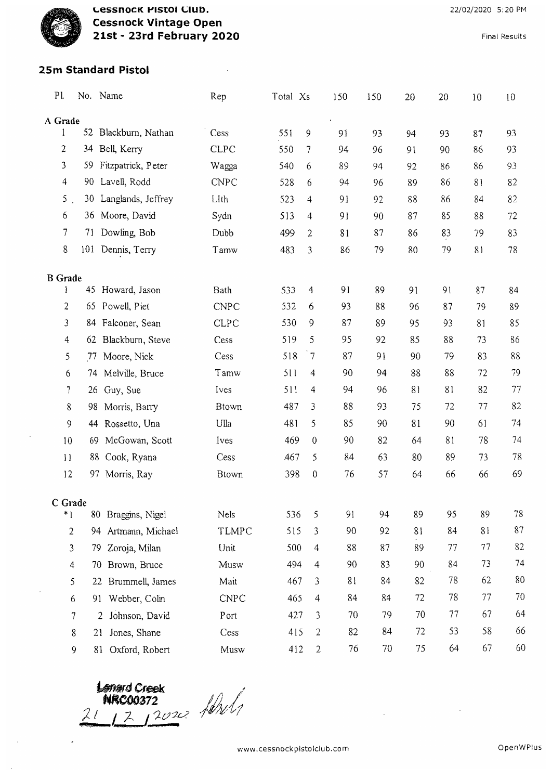

**LESSNOCK PISTOI CIUD. Cessnock Vintage Open 21st - 23rd February 2020** 

**Final Results** 

## **25m Standard Pistol**

| Pl.             |    | No. Name                         | Rep          | Total Xs |                  | 150 | 150 | 20 | 20 | 10 | 10 |
|-----------------|----|----------------------------------|--------------|----------|------------------|-----|-----|----|----|----|----|
| A Grade         |    |                                  |              |          |                  |     |     |    |    |    |    |
| 1               |    | 52 Blackburn, Nathan             | Cess         | 551      | 9                | 91  | 93  | 94 | 93 | 87 | 93 |
| 2               | 34 | Bell, Kerry                      | <b>CLPC</b>  | 550      | 7                | 94  | 96  | 91 | 90 | 86 | 93 |
| 3               | 59 | Fitzpatrick, Peter               | Wagga        | 540      | 6                | 89  | 94  | 92 | 86 | 86 | 93 |
| $\overline{4}$  | 90 | Lavell, Rodd                     | <b>CNPC</b>  | 528      | 6                | 94  | 96  | 89 | 86 | 81 | 82 |
| 5 <sub>1</sub>  |    | 30 Langlands, Jeffrey            | LIth         | 523      | 4                | 91  | 92  | 88 | 86 | 84 | 82 |
| 6               |    | 36 Moore, David                  | Sydn         | 513      | 4                | 91  | 90  | 87 | 85 | 88 | 72 |
| 7               | 71 | Dowling, Bob                     | Dubb         | 499      | 2                | 81  | 87  | 86 | 83 | 79 | 83 |
| 8               |    | 101 Dennis, Terry                | Tamw         | 483      | 3                | 86  | 79  | 80 | 79 | 81 | 78 |
| <b>B</b> Grade  |    |                                  |              |          |                  |     |     |    |    |    |    |
| I               |    | 45 Howard, Jason                 | Bath         | 533      | $\overline{4}$   | 91  | 89  | 91 | 91 | 87 | 84 |
| 2               |    | 65 Powell, Piet                  | <b>CNPC</b>  | 532      | 6                | 93  | 88  | 96 | 87 | 79 | 89 |
| 3               |    | 84 Falconer, Sean                | <b>CLPC</b>  | 530      | 9                | 87  | 89  | 95 | 93 | 81 | 85 |
| 4               | 62 | Blackburn, Steve                 | Cess         | 519      | 5                | 95  | 92  | 85 | 88 | 73 | 86 |
| 5               | 77 | Moore, Nick                      | Cess         | 518      | $\overline{7}$   | 87  | 91  | 90 | 79 | 83 | 88 |
| 6               | 74 | Melville, Bruce                  | Tamw         | 511      | 4                | 90  | 94  | 88 | 88 | 72 | 79 |
| 7               | 26 | Guy, Sue                         | Ives         | 511      | 4                | 94  | 96  | 81 | 81 | 82 | 77 |
| 8               | 98 | Morris, Barry                    | Btown        | 487      | 3                | 88  | 93  | 75 | 72 | 77 | 82 |
| 9               |    | 44 Rossetto, Una                 | Ulla         | 481      | 5                | 85  | 90  | 81 | 90 | 61 | 74 |
| 10              | 69 | McGowan, Scott                   | Ives         | 469      | $\,0$            | 90  | 82  | 64 | 81 | 78 | 74 |
| $\overline{11}$ | 88 | Cook, Ryana                      | Cess         | 467      | 5                | 84  | 63  | 80 | 89 | 73 | 78 |
| 12              | 97 | Morris, Ray                      | <b>Btown</b> | 398      | $\boldsymbol{0}$ | 76  | 57  | 64 | 66 | 66 | 69 |
| C Grade         |    |                                  |              |          |                  |     |     |    |    |    |    |
| $*1$            |    | 80 Braggins, Nigel               | Nels         | 536      | 5                | 91  | 94  | 89 | 95 | 89 | 78 |
| $\mathbf{2}$    | 94 | Artmann, Michael                 | TLMPC        | 515      | 3                | 90  | 92  | 81 | 84 | 81 | 87 |
| 3               | 79 | Zoroja, Milan                    | Unit         | 500      | 4                | 88  | 87  | 89 | 77 | 77 | 82 |
| 4               |    | Brown, Bruce<br>70               | Musw         | 494      | 4                | 90  | 83  | 90 | 84 | 73 | 74 |
| 5               |    | Brummell, James<br>22            | Mait         | 467      | 3                | 81  | 84  | 82 | 78 | 62 | 80 |
| 6               |    | Webber, Colin<br>91              | <b>CNPC</b>  | 465      | $\overline{4}$   | 84  | 84  | 72 | 78 | 77 | 70 |
|                 | 7  | Johnson, David<br>$\overline{2}$ | Port         | 427      | 3                | 70  | 79  | 70 | 77 | 67 | 64 |
|                 | 8  | Jones, Shane<br>21               | Cess         | 415      | $\mathbf{2}$     | 82  | 84  | 72 | 53 | 58 | 66 |
|                 | 9  | Oxford, Robert<br>81             | Musw         | 412      | $\overline{2}$   | 76  | 70  | 75 | 64 | 67 | 60 |

Lenard Creek<br>NRC00372<br>1 1 2 1 2020 10/1

J.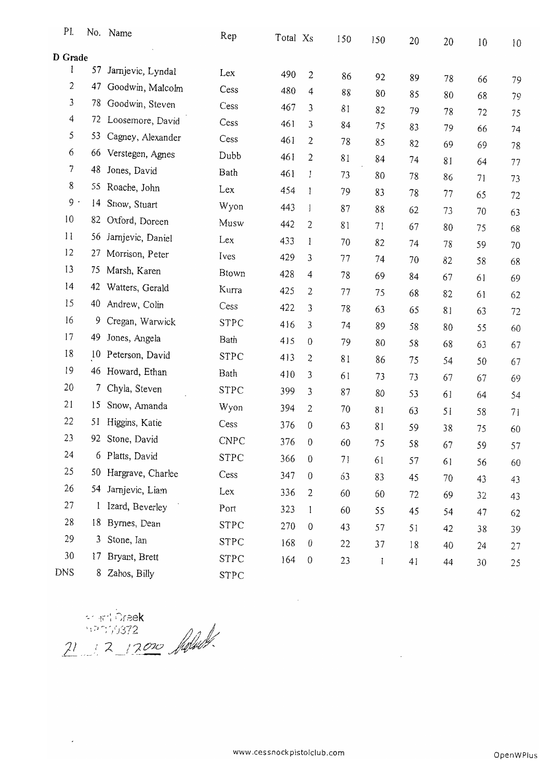| PI.            |                 | No. Name          | Rep         | Total X <sub>S</sub> |                  | 150 | 150 | 20 | 20 | 10 | 10 |
|----------------|-----------------|-------------------|-------------|----------------------|------------------|-----|-----|----|----|----|----|
| <b>D</b> Grade |                 |                   |             |                      |                  |     |     |    |    |    |    |
| l              | 57              | Jarnjevic, Lyndal | Lex         | 490                  | $\mathfrak{2}$   | 86  | 92  | 89 | 78 | 66 | 79 |
| 2              | 47              | Goodwin, Malcolm  | Cess        | 480                  | 4                | 88  | 80  | 85 | 80 | 68 | 79 |
| 3              | 78              | Goodwin, Steven   | Cess        | 467                  | 3                | 81  | 82  | 79 | 78 | 72 | 75 |
| 4              | 72              | Loosemore, David  | Cess        | 461                  | 3                | 84  | 75  | 83 | 79 | 66 | 74 |
| 5              | 53              | Cagney, Alexander | Cess        | 461                  | 2                | 78  | 85  | 82 | 69 | 69 | 78 |
| 6              | 66              | Verstegen, Agnes  | Dubb        | 461                  | 2                | 81  | 84  | 74 | 81 | 64 | 77 |
| 7              | 48              | Jones, David      | Bath        | 461                  | I                | 73  | 80  | 78 | 86 | 71 | 73 |
| 8              | 55              | Roache, John      | Lex         | 454                  | 1                | 79  | 83  | 78 | 77 | 65 | 72 |
| $9 -$          | $\overline{14}$ | Snow, Stuart      | Wyon        | 443                  | $\mathbf{1}$     | 87  | 88  | 62 | 73 | 70 | 63 |
| 10             | 82              | Oxford, Doreen    | Musw        | 442                  | 2                | 81  | 71  | 67 | 80 | 75 | 68 |
| $\mathbf{1}$   | 56              | Jarnjevic, Daniel | Lex         | 433                  | 1                | 70  | 82  | 74 | 78 | 59 | 70 |
| 12             | 27              | Morrison, Peter   | Ives        | 429                  | 3                | 77  | 74  | 70 | 82 | 58 | 68 |
| 13             | 75              | Marsh, Karen      | Btown       | 428                  | 4                | 78  | 69  | 84 | 67 | 61 | 69 |
| 4              | 42              | Watters, Gerald   | Kurra       | 425                  | 2                | 77  | 75  | 68 | 82 | 61 | 62 |
| 15             | 40              | Andrew, Colin     | Cess        | 422                  | 3                | 78  | 63  | 65 | 81 | 63 | 72 |
| 16             | 9.              | Cregan, Warwick   | <b>STPC</b> | 416                  | 3                | 74  | 89  | 58 | 80 | 55 | 60 |
| 17             | 49              | Jones, Angela     | Bath        | 415                  | $\boldsymbol{0}$ | 79  | 80  | 58 | 68 | 63 | 67 |
| 18             | 10              | Peterson, David   | <b>STPC</b> | 413                  | 2                | 81  | 86  | 75 | 54 | 50 | 67 |
| 19             | 46              | Howard, Ethan     | Bath        | 410                  | 3                | 61  | 73  | 73 | 67 | 67 | 69 |
| 20             | 7               | Chyla, Steven     | <b>STPC</b> | 399                  | 3                | 87  | 80  | 53 | 61 | 64 | 54 |
| 21             | 15              | Snow, Amanda      | Wyon        | 394                  | 2                | 70  | 81  | 63 | 51 | 58 | 71 |
| 22             | 51              | Higgins, Katie    | Cess        | 376                  | 0                | 63  | 81  | 59 | 38 | 75 | 60 |
| 23             | 92              | Stone, David      | CNPC        | 376                  | 0                | 60  | 75  | 58 | 67 | 59 | 57 |
| 24             |                 | 6 Platts, David   | <b>STPC</b> | 366                  | $\boldsymbol{0}$ | 71  | 61  | 57 | 61 | 56 | 60 |
| 25             | 50              | Hargrave, Charlee | Cess        | 347                  | $\theta$         | 63  | 83  | 45 | 70 | 43 | 43 |
| 26             | 54              | Jarnjevic, Liam   | Lex         | 336                  | $\overline{c}$   | 60  | 60  | 72 | 69 | 32 | 43 |
| 27             | $\mathbf{l}$    | Izard, Beverley   | Port        | 323                  | 1                | 60  | 55  | 45 | 54 | 47 | 62 |
| 28             | 18              | Byrnes, Dean      | STPC        | 270                  | $\boldsymbol{0}$ | 43  | 57  | 51 | 42 | 38 | 39 |
| 29             | 3               | Stone, Ian        | <b>STPC</b> | 168                  | $\boldsymbol{0}$ | 22  | 37  | 18 | 40 | 24 | 27 |
| 30             | 17              | Bryant, Brett     | <b>STPC</b> | 164                  | $\boldsymbol{0}$ | 23  | l   | 41 | 44 | 30 | 25 |
| <b>DNS</b>     | 8               | Zahos, Billy      | <b>STPC</b> |                      |                  |     |     |    |    |    |    |

- 11 Dreek<br>11 12 12000 Melour

**OpenWPlus**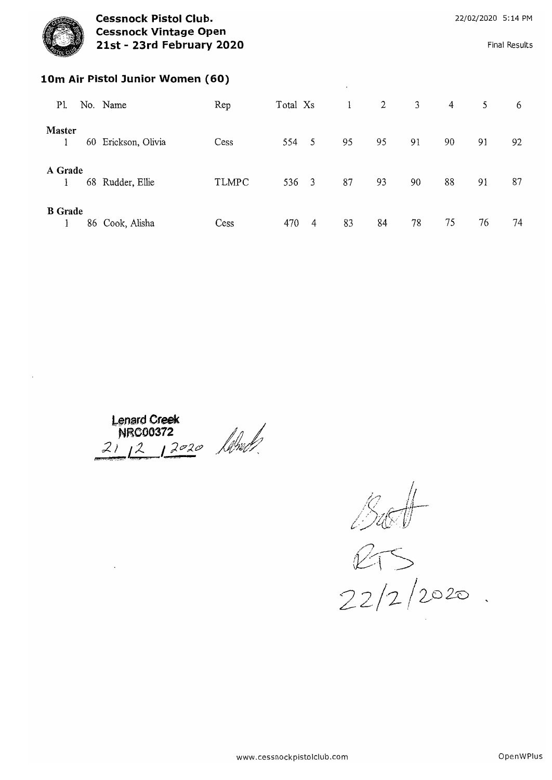

**Cessnock Pistol Club. Cessnock Vintage Open** 21st - 23rd February 2020

**Final Results** 

#### 10m Air Pistol Junior Women (60)

| P1.            |    | No. Name         | Rep          | Total Xs |                          | $\mathbf{1}$ | $\mathbf{2}$ | 3  | 4  | 5  | 6  |
|----------------|----|------------------|--------------|----------|--------------------------|--------------|--------------|----|----|----|----|
| Master         | 60 | Erickson, Olivia | Cess         | 554      | $\overline{\phantom{0}}$ | 95           | 95           | 91 | 90 | 91 | 92 |
| A Grade        |    | 68 Rudder, Ellie | <b>TLMPC</b> | 536      | $\overline{\mathbf{3}}$  | 87           | 93           | 90 | 88 | 91 | 87 |
| <b>B</b> Grade |    | 86 Cook, Alisha  | Cess         | 470      | 4                        | 83           | 84           | 78 | 75 | 76 | 74 |

Lenard Creek<br>NRC00372<br>21 12 12020 April

 $rac{b}{c}$ <br>22/2/2020.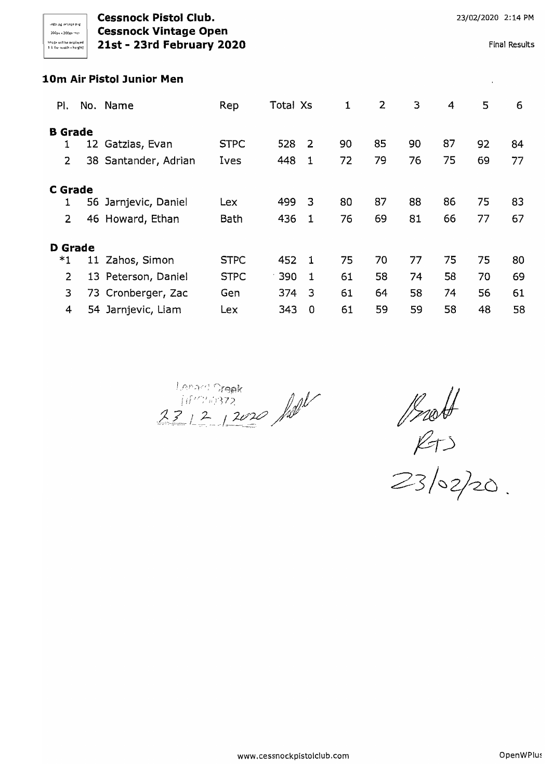## **Cessnock Pistol Club. Cessnock Pistol Club. 23/02/2020** 2:14 PM )000" ,00p""'" **Cessnock Vintage Open**  $\frac{\hbox{Im}\{P_{\text{ex}}\}^{\text{Im}\{P_{\text{ex}}\}^{\text{Im}\{P_{\text{ex}}\}}} }{21st - 23rd \text{ February } 2020}$  Final Results

### **10m Air Pistol Junior Men**

| PI.            |    | No. Name             | Rep         | Total Xs |              | 1  | 2  | 3  | 4  | 5  | 6  |
|----------------|----|----------------------|-------------|----------|--------------|----|----|----|----|----|----|
| <b>B</b> Grade |    |                      |             |          |              |    |    |    |    |    |    |
|                | 12 | Gatzias, Evan        | <b>STPC</b> | 528      | - 2          | 90 | 85 | 90 | 87 | 92 | 84 |
| $\overline{2}$ |    | 38 Santander, Adrian | Ives        | 448      | -1           | 72 | 79 | 76 | 75 | 69 | 77 |
|                |    |                      |             |          |              |    |    |    |    |    |    |
| <b>C</b> Grade |    |                      |             |          |              |    |    |    |    |    |    |
| 1              |    | 56 Jarnjevic, Daniel | Lex         | 499      | -3           | 80 | 87 | 88 | 86 | 75 | 83 |
| 2              |    | 46 Howard, Ethan     | Bath        | 436      | 1            | 76 | 69 | 81 | 66 | 77 | 67 |
|                |    |                      |             |          |              |    |    |    |    |    |    |
| <b>D</b> Grade |    |                      |             |          |              |    |    |    |    |    |    |
| *1             |    | 11 Zahos, Simon      | <b>STPC</b> | 452      | -1           | 75 | 70 | 77 | 75 | 75 | 80 |
| $\overline{2}$ |    | 13 Peterson, Daniel  | <b>STPC</b> | 390      | $\mathbf{1}$ | 61 | 58 | 74 | 58 | 70 | 69 |
| 3              |    | 73 Cronberger, Zac   | Gen         | 374      | 3            | 61 | 64 | 58 | 74 | 56 | 61 |
| 4              | 54 | Jarnjevic, Liam      | Lex         | 343      | 0            | 61 | 59 | 59 | 58 | 48 | 58 |

Longes Orgels<br>111/2019372<br>231212020 /1

*l5t@jj*   $\mathcal{L}$  $\top$ )

 $\leq$  5/02/20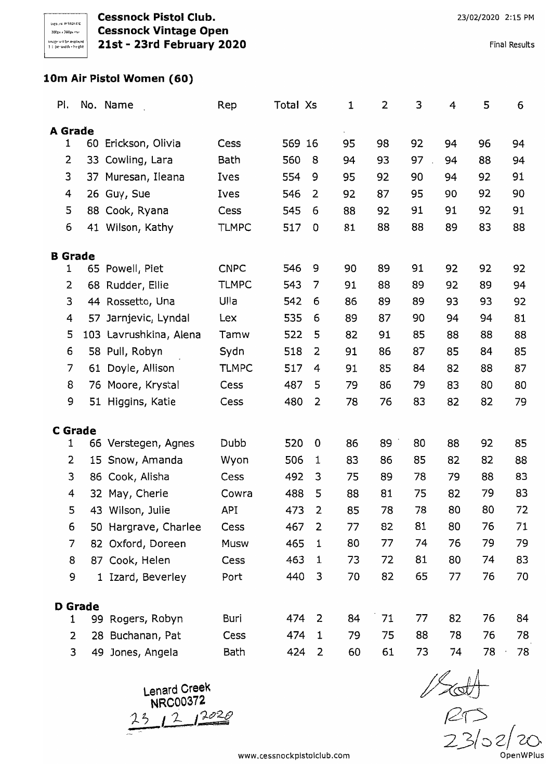# 10m Air Pistol Women (60)

| Pi.            |                | No. Name               | Rep          | Total Xs |   | 1  | 2  | 3  | 4  | 5  | 6  |
|----------------|----------------|------------------------|--------------|----------|---|----|----|----|----|----|----|
| A Grade        |                |                        |              |          |   |    |    |    |    |    |    |
| 1              |                | 60 Erickson, Olivia    | Cess         | 569 16   |   | 95 | 98 | 92 | 94 | 96 | 94 |
| 2              |                | 33 Cowling, Lara       | Bath         | 560      | 8 | 94 | 93 | 97 | 94 | 88 | 94 |
| 3              | 37             | Muresan, Ileana        | Ives         | 554      | 9 | 95 | 92 | 90 | 94 | 92 | 91 |
| 4              |                | 26 Guy, Sue            | Ives         | 546      | 2 | 92 | 87 | 95 | 90 | 92 | 90 |
| 5              |                | 88 Cook, Ryana         | Cess         | 545      | 6 | 88 | 92 | 91 | 91 | 92 | 91 |
| 6              |                | 41 Wilson, Kathy       | <b>TLMPC</b> | 517      | 0 | 81 | 88 | 88 | 89 | 83 | 88 |
| <b>B</b> Grade |                |                        |              |          |   |    |    |    |    |    |    |
| 1              |                | 65 Powell, Piet        | <b>CNPC</b>  | 546      | 9 | 90 | 89 | 91 | 92 | 92 | 92 |
| 2              |                | 68 Rudder, Ellie       | <b>TLMPC</b> | 543      | 7 | 91 | 88 | 89 | 92 | 89 | 94 |
| 3              |                | 44 Rossetto, Una       | Ulla         | 542      | 6 | 86 | 89 | 89 | 93 | 93 | 92 |
| 4              | 57             | Jarnjevic, Lyndal      | Lex          | 535      | 6 | 89 | 87 | 90 | 94 | 94 | 81 |
| 5              |                | 103 Lavrushkina, Alena | Tamw         | 522      | 5 | 82 | 91 | 85 | 88 | 88 | 88 |
| 6              |                | 58 Pull, Robyn         | Sydn         | 518      | 2 | 91 | 86 | 87 | 85 | 84 | 85 |
| 7              | 61             | Doyle, Allison         | <b>TLMPC</b> | 517      | 4 | 91 | 85 | 84 | 82 | 88 | 87 |
| 8              | 76             | Moore, Krystal         | Cess         | 487      | 5 | 79 | 86 | 79 | 83 | 80 | 80 |
| 9              |                | 51 Higgins, Katie      | Cess         | 480      | 2 | 78 | 76 | 83 | 82 | 82 | 79 |
| <b>C</b> Grade |                |                        |              |          |   |    |    |    |    |    |    |
| 1              |                | 66 Verstegen, Agnes    | Dubb         | 520      | 0 | 86 | 89 | 80 | 88 | 92 | 85 |
| 2              |                | 15 Snow, Amanda        | Wyon         | 506      | 1 | 83 | 86 | 85 | 82 | 82 | 88 |
| 3              |                | 86 Cook, Alisha        | Cess         | 492      | 3 | 75 | 89 | 78 | 79 | 88 | 83 |
| 4              | 32             | May, Cherie            | Cowra        | 488      | 5 | 88 | 81 | 75 | 82 | 79 | 83 |
| 5              | 43             | Wilson, Julie          | API          | 473      | 2 | 85 | 78 | 78 | 80 | 80 | 72 |
| 6              |                | 50 Hargrave, Charlee   | Cess         | 467      | 2 | 77 | 82 | 81 | 80 | 76 | 71 |
| 7              |                | 82 Oxford, Doreen      | Musw         | 465      | 1 | 80 | 77 | 74 | 76 | 79 | 79 |
| 8              |                | 87 Cook, Helen         | Cess         | 463      | 1 | 73 | 72 | 81 | 80 | 74 | 83 |
| 9              |                | 1 Izard, Beverley      | Port         | 440      | 3 | 70 | 82 | 65 | 77 | 76 | 70 |
|                | <b>D</b> Grade |                        |              |          |   |    |    |    |    |    |    |
| 1              |                | 99 Rogers, Robyn       | Buri         | 474      | 2 | 84 | 71 | 77 | 82 | 76 | 84 |
| 2              | 28             | Buchanan, Pat          | Cess         | 474      | 1 | 79 | 75 | 88 | 78 | 76 | 78 |
| 3              |                | 49 Jones, Angela       | Bath         | 424      | 2 | 60 | 61 | 73 | 74 | 78 | 78 |

Lenard Creek<br>NRC00372  $231212020$ 

 $120$ <br> $230220$ OpenWPlus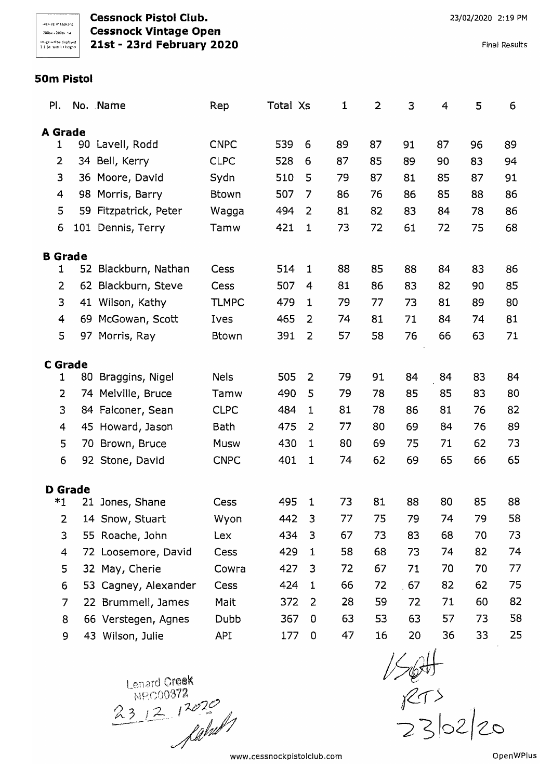**Cessnock Pistol Club. Cessnock Vintage Open** 21st - 23rd February 2020

**Final Results** 

#### 50m Pistol

| PI.            |                | No. Name              | Rep          | Total Xs |                | 1  | $\overline{2}$ | 3  | $\overline{4}$ | 5  | 6  |
|----------------|----------------|-----------------------|--------------|----------|----------------|----|----------------|----|----------------|----|----|
| <b>A</b> Grade |                |                       |              |          |                |    |                |    |                |    |    |
| 1              | 90             | Lavell, Rodd          | <b>CNPC</b>  | 539      | 6              | 89 | 87             | 91 | 87             | 96 | 89 |
| 2              |                | 34 Bell, Kerry        | <b>CLPC</b>  | 528      | 6              | 87 | 85             | 89 | 90             | 83 | 94 |
| 3              |                | 36 Moore, David       | Sydn         | 510      | 5              | 79 | 87             | 81 | 85             | 87 | 91 |
| 4              |                | 98 Morris, Barry      | <b>Btown</b> | 507      | $\overline{7}$ | 86 | 76             | 86 | 85             | 88 | 86 |
| 5              |                | 59 Fitzpatrick, Peter | Wagga        | 494      | $\overline{2}$ | 81 | 82             | 83 | 84             | 78 | 86 |
| 6              | 101            | Dennis, Terry         | Tamw         | 421      | $\mathbf{1}$   | 73 | 72             | 61 | 72             | 75 | 68 |
| <b>B</b> Grade |                |                       |              |          |                |    |                |    |                |    |    |
| 1              | 52             | Blackburn, Nathan     | Cess         | 514      | $\mathbf{1}$   | 88 | 85             | 88 | 84             | 83 | 86 |
| 2              | 62             | Blackburn, Steve      | Cess         | 507      | 4              | 81 | 86             | 83 | 82             | 90 | 85 |
| 3              |                | 41 Wilson, Kathy      | <b>TLMPC</b> | 479      | $\mathbf{1}$   | 79 | 77             | 73 | 81             | 89 | 80 |
| 4              |                | 69 McGowan, Scott     | Ives         | 465      | $\overline{2}$ | 74 | 81             | 71 | 84             | 74 | 81 |
| 5              |                | 97 Morris, Ray        | <b>Btown</b> | 391      | $\overline{2}$ | 57 | 58             | 76 | 66             | 63 | 71 |
| <b>C</b> Grade |                |                       |              |          |                |    |                |    |                |    |    |
| 1              |                | 80 Braggins, Nigel    | <b>Nels</b>  | 505      | 2              | 79 | 91             | 84 | 84             | 83 | 84 |
| $\overline{2}$ |                | 74 Melville, Bruce    | Tamw         | 490      | 5              | 79 | 78             | 85 | 85             | 83 | 80 |
| 3              |                | 84 Falconer, Sean     | <b>CLPC</b>  | 484      | $\mathbf{1}$   | 81 | 78             | 86 | 81             | 76 | 82 |
| $\overline{4}$ |                | 45 Howard, Jason      | <b>Bath</b>  | 475      | 2              | 77 | 80             | 69 | 84             | 76 | 89 |
| 5              |                | 70 Brown, Bruce       | Musw         | 430      | 1              | 80 | 69             | 75 | 71             | 62 | 73 |
| 6              |                | 92 Stone, David       | <b>CNPC</b>  | 401      | 1              | 74 | 62             | 69 | 65             | 66 | 65 |
|                | <b>D</b> Grade |                       |              |          |                |    |                |    |                |    |    |
| *1             | 21             | Jones, Shane          | Cess         | 495      | 1              | 73 | 81             | 88 | 80             | 85 | 88 |
| $\overline{2}$ |                | 14 Snow, Stuart       | Wyon         | 442      | 3              | 77 | 75             | 79 | 74             | 79 | 58 |
| 3              |                | 55 Roache, John       | Lex          | 434      | 3              | 67 | 73             | 83 | 68             | 70 | 73 |
| 4              |                | 72 Loosemore, David   | Cess         | 429      | 1              | 58 | 68             | 73 | 74             | 82 | 74 |
| 5              |                | 32 May, Cherie        | Cowra        | 427      | 3              | 72 | 67             | 71 | 70             | 70 | 77 |
| 6              |                | 53 Cagney, Alexander  | Cess         | 424      | 1              | 66 | 72             | 67 | 82             | 62 | 75 |
| 7              |                | 22 Brummell, James    | Mait         | 372      | 2              | 28 | 59             | 72 | 71             | 60 | 82 |
| 8              |                | 66 Verstegen, Agnes   | Dubb         | 367      | $\mathbf 0$    | 63 | 53             | 63 | 57             | 73 | 58 |
| 9              |                | 43 Wilson, Julie      | API          | 177      | 0              | 47 | 16             | 20 | 36             | 33 | 25 |

Lenard Creek<br>19200372<br>231212020

 $1504$ <br> $873$ <br> $2302$  20

www.cessnockpistolclub.com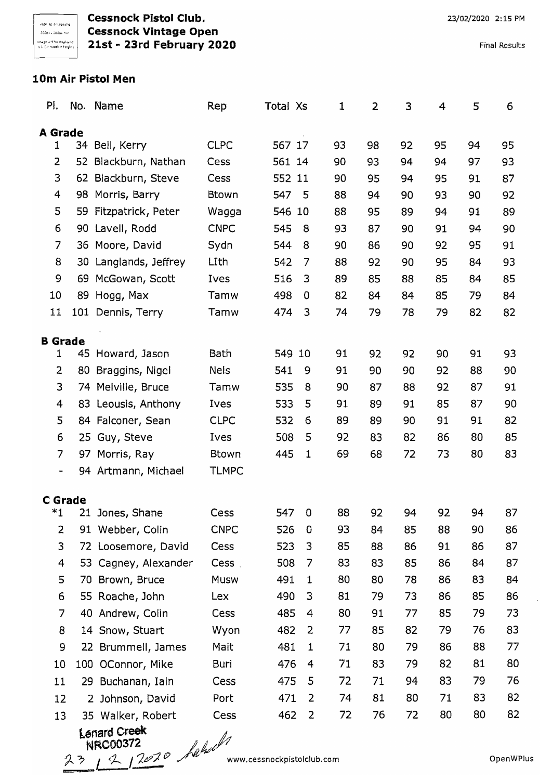**Cessnock Pistol Club. Cessnock Vintage Open** 21st - 23rd February 2020

**Final Results** 

## 10m Air Pistol Men

| PI.                      |    | No. Name              | Rep          | Total Xs |                | 1  | $\overline{2}$ | 3  | 4  | 5  | 6  |
|--------------------------|----|-----------------------|--------------|----------|----------------|----|----------------|----|----|----|----|
| <b>A</b> Grade           |    |                       |              |          |                |    |                |    |    |    |    |
| 1                        | 34 | Bell, Kerry           | <b>CLPC</b>  | 567 17   |                | 93 | 98             | 92 | 95 | 94 | 95 |
| 2                        | 52 | Blackburn, Nathan     | Cess         | 561 14   |                | 90 | 93             | 94 | 94 | 97 | 93 |
| 3                        |    | 62 Blackburn, Steve   | Cess         | 552 11   |                | 90 | 95             | 94 | 95 | 91 | 87 |
| 4                        |    | 98 Morris, Barry      | <b>Btown</b> | 547      | 5              | 88 | 94             | 90 | 93 | 90 | 92 |
| 5                        |    | 59 Fitzpatrick, Peter | Wagga        | 546 10   |                | 88 | 95             | 89 | 94 | 91 | 89 |
| 6                        |    | 90 Lavell, Rodd       | <b>CNPC</b>  | 545      | 8              | 93 | 87             | 90 | 91 | 94 | 90 |
| $\overline{7}$           |    | 36 Moore, David       | Sydn         | 544      | 8              | 90 | 86             | 90 | 92 | 95 | 91 |
| 8                        |    | 30 Langlands, Jeffrey | LIth         | 542      | 7              | 88 | 92             | 90 | 95 | 84 | 93 |
| 9                        |    | 69 McGowan, Scott     | Ives         | 516      | 3              | 89 | 85             | 88 | 85 | 84 | 85 |
| 10                       |    | 89 Hogg, Max          | Tamw         | 498      | 0              | 82 | 84             | 84 | 85 | 79 | 84 |
| 11                       |    | 101 Dennis, Terry     | Tamw         | 474      | 3              | 74 | 79             | 78 | 79 | 82 | 82 |
|                          |    |                       |              |          |                |    |                |    |    |    |    |
| <b>B</b> Grade<br>1      |    | 45 Howard, Jason      | <b>Bath</b>  | 549      | 10             | 91 | 92             | 92 | 90 | 91 | 93 |
| 2                        |    | 80 Braggins, Nigel    | <b>Nels</b>  | 541      | 9              | 91 | 90             | 90 | 92 | 88 | 90 |
| 3                        |    | 74 Melville, Bruce    | Tamw         | 535      | 8              | 90 | 87             | 88 | 92 | 87 | 91 |
| 4                        |    | 83 Leousis, Anthony   | Ives         | 533      | 5              | 91 | 89             | 91 | 85 | 87 | 90 |
| 5                        |    | 84 Falconer, Sean     | <b>CLPC</b>  | 532      | 6              | 89 | 89             | 90 | 91 | 91 | 82 |
| 6                        |    | 25 Guy, Steve         | Ives         | 508      | 5              | 92 | 83             | 82 | 86 | 80 | 85 |
| 7                        |    | 97 Morris, Ray        | <b>Btown</b> | 445      | $\mathbf 1$    | 69 | 68             | 72 | 73 | 80 | 83 |
| $\overline{\phantom{a}}$ |    | 94 Artmann, Michael   | <b>TLMPC</b> |          |                |    |                |    |    |    |    |
|                          |    |                       |              |          |                |    |                |    |    |    |    |
| <b>C</b> Grade           |    |                       |              |          |                |    |                |    |    |    |    |
| *1                       |    | 21 Jones, Shane       | Cess         | 547      | $\mathbf 0$    | 88 | 92             | 94 | 92 | 94 | 87 |
| $\overline{2}$           |    | 91 Webber, Colin      | <b>CNPC</b>  | 526      | $\mathbf 0$    | 93 | 84             | 85 | 88 | 90 | 86 |
| 3                        |    | 72 Loosemore, David   | Cess         | 523      | 3              | 85 | 88             | 86 | 91 | 86 | 87 |
| 4                        |    | 53 Cagney, Alexander  | Cess.        | 508      | 7              | 83 | 83             | 85 | 86 | 84 | 87 |
| 5                        |    | 70 Brown, Bruce       | <b>Musw</b>  | 491      | 1              | 80 | 80             | 78 | 86 | 83 | 84 |
| 6                        |    | 55 Roache, John       | Lex          | 490      | 3              | 81 | 79             | 73 | 86 | 85 | 86 |
| 7                        |    | 40 Andrew, Colin      | Cess         | 485      | 4              | 80 | 91             | 77 | 85 | 79 | 73 |
| 8                        |    | 14 Snow, Stuart       | Wyon         | 482      | 2              | 77 | 85             | 82 | 79 | 76 | 83 |
| 9                        |    | 22 Brummell, James    | Mait         | 481      | 1              | 71 | 80             | 79 | 86 | 88 | 77 |
| 10                       |    | 100 OConnor, Mike     | Buri         | 476      | 4              | 71 | 83             | 79 | 82 | 81 | 80 |
| 11                       |    | 29 Buchanan, Iain     | Cess         | 475      | 5              | 72 | 71             | 94 | 83 | 79 | 76 |
| 12                       |    | 2 Johnson, David      | Port         | 471      | 2              | 74 | 81             | 80 | 71 | 83 | 82 |
| 13                       |    | 35 Walker, Robert     | Cess         | 462      | $\overline{2}$ | 72 | 76             | 72 | 80 | 80 | 82 |
|                          |    | Lenard Creek          | ll a         |          |                |    |                |    |    |    |    |

NRC00372<br>23 2 2 2020 habell